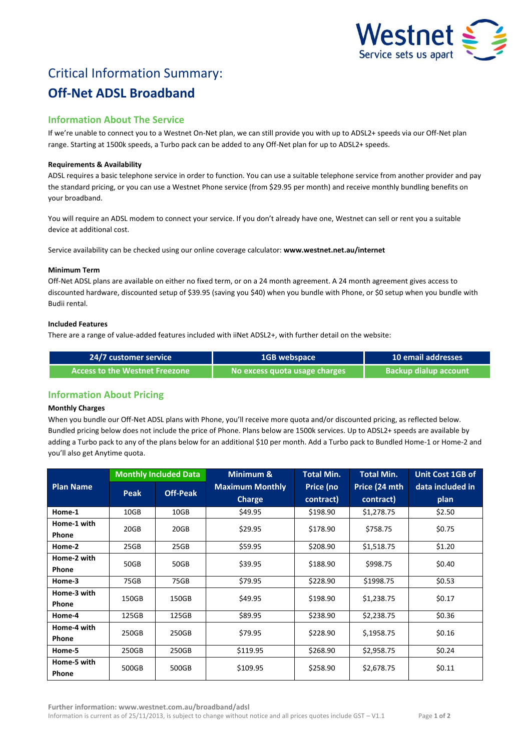

# Critical Information Summary: **Off-Net ADSL Broadband**

## **Information About The Service**

If we're unable to connect you to a Westnet On-Net plan, we can still provide you with up to ADSL2+ speeds via our Off-Net plan range. Starting at 1500k speeds, a Turbo pack can be added to any Off-Net plan for up to ADSL2+ speeds.

### **Requirements & Availability**

ADSL requires a basic telephone service in order to function. You can use a suitable telephone service from another provider and pay the standard pricing, or you can use a Westnet Phone service (from \$29.95 per month) and receive monthly bundling benefits on your broadband.

You will require an ADSL modem to connect your service. If you don't already have one, Westnet can sell or rent you a suitable device at additional cost.

Service availability can be checked using our online coverage calculator: **www.westnet.net.au/internet**

#### **Minimum Term**

Off-Net ADSL plans are available on either no fixed term, or on a 24 month agreement. A 24 month agreement gives access to discounted hardware, discounted setup of \$39.95 (saving you \$40) when you bundle with Phone, or \$0 setup when you bundle with Budii rental.

#### **Included Features**

There are a range of value-added features included with iiNet ADSL2+, with further detail on the website:

| 24/7 customer service          | <b>1GB webspace</b>           | <b>10 email addresses</b>    |  |
|--------------------------------|-------------------------------|------------------------------|--|
| Access to the Westnet Freezone | No excess quota usage charges | <b>Backup dialup account</b> |  |

## **Information About Pricing**

#### **Monthly Charges**

When you bundle our Off-Net ADSL plans with Phone, you'll receive more quota and/or discounted pricing, as reflected below. Bundled pricing below does not include the price of Phone. Plans below are 1500k services. Up to ADSL2+ speeds are available by adding a Turbo pack to any of the plans below for an additional \$10 per month. Add a Turbo pack to Bundled Home-1 or Home-2 and you'll also get Anytime quota.

|                  | <b>Monthly Included Data</b> |                 | Minimum &              | <b>Total Min.</b> | <b>Total Min.</b> | Unit Cost 1GB of |
|------------------|------------------------------|-----------------|------------------------|-------------------|-------------------|------------------|
| <b>Plan Name</b> | Peak                         | <b>Off-Peak</b> | <b>Maximum Monthly</b> | Price (no         | Price (24 mth     | data included in |
|                  |                              |                 | <b>Charge</b>          | contract)         | contract)         | plan             |
| Home-1           | 10GB                         | 10GB            | \$49.95                | \$198.90          | \$1,278.75        | \$2.50           |
| Home-1 with      | 20GB                         | 20GB            | \$29.95                | \$178.90          | \$758.75          | \$0.75           |
| <b>Phone</b>     |                              |                 |                        |                   |                   |                  |
| Home-2           | 25GB                         | 25GB            | \$59.95                | \$208.90          | \$1,518.75        | \$1.20           |
| Home-2 with      | 50GB                         | 50GB            | \$39.95                | \$188.90          | \$998.75          | \$0.40           |
| Phone            |                              |                 |                        |                   |                   |                  |
| Home-3           | 75GB                         | 75GB            | \$79.95                | \$228.90          | \$1998.75         | \$0.53           |
| Home-3 with      | 150GB                        | 150GB           | \$49.95                | \$198.90          | \$1,238.75        | \$0.17           |
| <b>Phone</b>     |                              |                 |                        |                   |                   |                  |
| Home-4           | 125GB                        | 125GB           | \$89.95                | \$238.90          | \$2,238.75        | \$0.36           |
| Home-4 with      | 250GB                        | 250GB           | \$79.95                | \$228.90          | \$,1958.75        | \$0.16           |
| <b>Phone</b>     |                              |                 |                        |                   |                   |                  |
| Home-5           | 250GB                        | 250GB           | \$119.95               | \$268.90          | \$2,958.75        | \$0.24           |
| Home-5 with      | 500GB                        | 500GB           | \$109.95               | \$258.90          | \$2,678.75        | \$0.11           |
| Phone            |                              |                 |                        |                   |                   |                  |